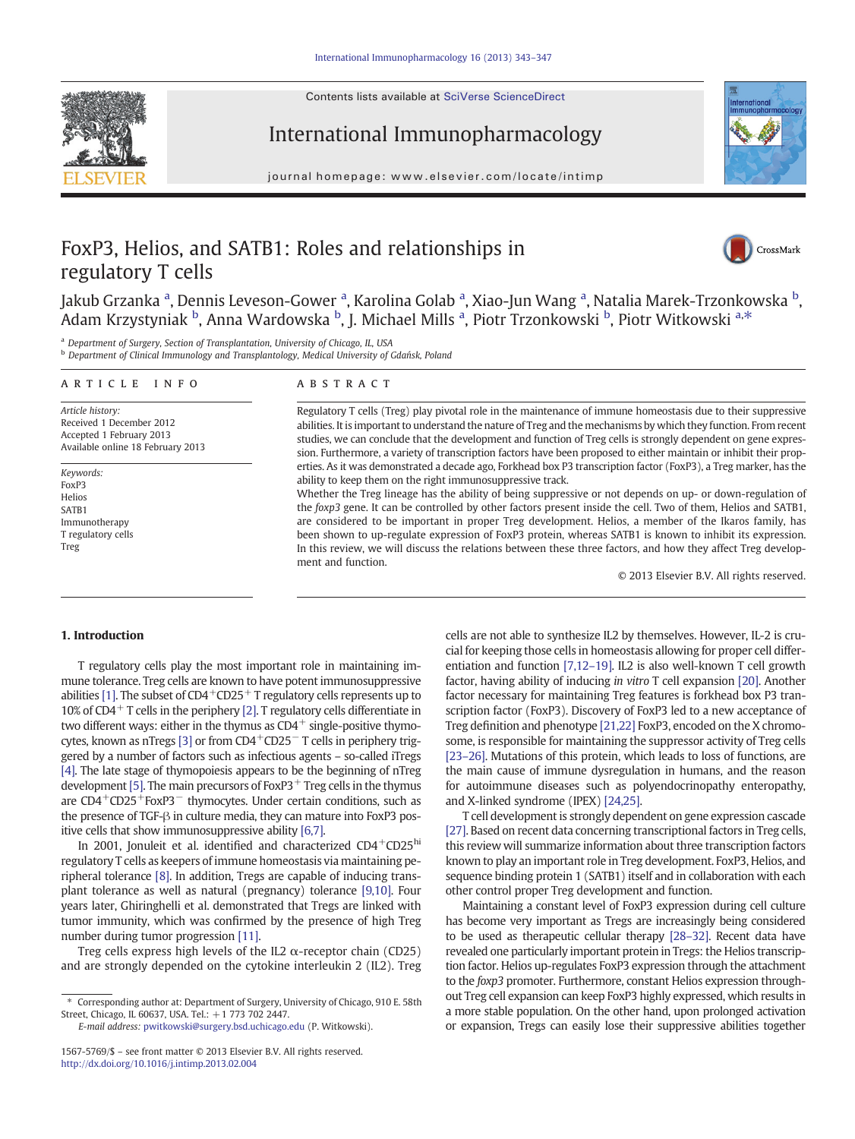Contents lists available at SciVerse ScienceDirect





journal homepage: www.elsevier.com/locate/intimp



# FoxP3, Helios, and SATB1: Roles and relationships in regulatory T cells



Jakub Grzanka <sup>a</sup>, Dennis Leveson-Gower <sup>a</sup>, Karolina Golab <sup>a</sup>, Xiao-Jun Wang <sup>a</sup>, Natalia Marek-Trzonkowska <sup>b</sup>, Adam Krzystyniak <sup>b</sup>, Anna Wardowska <sup>b</sup>, J. Michael Mills <sup>a</sup>, Piotr Trzonkowski <sup>b</sup>, Piotr Witkowski <sup>a,\*</sup>

<sup>a</sup> Department of Surgery, Section of Transplantation, University of Chicago, IL, USA

<sup>b</sup> Department of Clinical Immunology and Transplantology, Medical University of Gdańsk, Poland

#### article info abstract

Article history: Received 1 December 2012 Accepted 1 February 2013 Available online 18 February 2013

Keywords: FoxP3 Helios SATB1 Immunotherapy T regulatory cells Treg

Regulatory T cells (Treg) play pivotal role in the maintenance of immune homeostasis due to their suppressive abilities. It is important to understand the nature of Treg and the mechanisms by which they function. From recent studies, we can conclude that the development and function of Treg cells is strongly dependent on gene expression. Furthermore, a variety of transcription factors have been proposed to either maintain or inhibit their properties. As it was demonstrated a decade ago, Forkhead box P3 transcription factor (FoxP3), a Treg marker, has the ability to keep them on the right immunosuppressive track.

Whether the Treg lineage has the ability of being suppressive or not depends on up- or down-regulation of the foxp3 gene. It can be controlled by other factors present inside the cell. Two of them, Helios and SATB1, are considered to be important in proper Treg development. Helios, a member of the Ikaros family, has been shown to up-regulate expression of FoxP3 protein, whereas SATB1 is known to inhibit its expression. In this review, we will discuss the relations between these three factors, and how they affect Treg development and function.

© 2013 Elsevier B.V. All rights reserved.

# 1. Introduction

T regulatory cells play the most important role in maintaining immune tolerance. Treg cells are known to have potent immunosuppressive abilities [\[1\].](#page-2-0) The subset of  $CD4^+CD25^+$  T regulatory cells represents up to 10% of CD4<sup>+</sup> T cells in the periphery [\[2\]](#page-2-0). T regulatory cells differentiate in two different ways: either in the thymus as  $CD4^+$  single-positive thymo-cytes, known as nTregs [\[3\]](#page-3-0) or from CD4<sup>+</sup>CD25<sup>−</sup>T cells in periphery triggered by a number of factors such as infectious agents – so-called iTregs [\[4\]](#page-3-0). The late stage of thymopoiesis appears to be the beginning of nTreg development [\[5\].](#page-3-0) The main precursors of Fox $P3$ <sup>+</sup> Treg cells in the thymus are CD4+CD25+FoxP3<sup>−</sup> thymocytes. Under certain conditions, such as the presence of TGF-β in culture media, they can mature into FoxP3 positive cells that show immunosuppressive ability [\[6,7\]](#page-3-0).

In 2001, Jonuleit et al. identified and characterized CD4<sup>+</sup>CD25<sup>hi</sup> regulatory T cells as keepers of immune homeostasis via maintaining peripheral tolerance [\[8\]](#page-3-0). In addition, Tregs are capable of inducing transplant tolerance as well as natural (pregnancy) tolerance [\[9,10\]](#page-3-0). Four years later, Ghiringhelli et al. demonstrated that Tregs are linked with tumor immunity, which was confirmed by the presence of high Treg number during tumor progression [\[11\]](#page-3-0).

Treg cells express high levels of the IL2  $\alpha$ -receptor chain (CD25) and are strongly depended on the cytokine interleukin 2 (IL2). Treg cells are not able to synthesize IL2 by themselves. However, IL-2 is crucial for keeping those cells in homeostasis allowing for proper cell differentiation and function [\[7,12](#page-3-0)–19]. IL2 is also well-known T cell growth factor, having ability of inducing in vitro T cell expansion [\[20\].](#page-3-0) Another factor necessary for maintaining Treg features is forkhead box P3 transcription factor (FoxP3). Discovery of FoxP3 led to a new acceptance of Treg definition and phenotype [\[21,22\]](#page-3-0) FoxP3, encoded on the X chromosome, is responsible for maintaining the suppressor activity of Treg cells [23–[26\]](#page-3-0). Mutations of this protein, which leads to loss of functions, are the main cause of immune dysregulation in humans, and the reason for autoimmune diseases such as polyendocrinopathy enteropathy, and X-linked syndrome (IPEX) [\[24,25\].](#page-3-0)

T cell development is strongly dependent on gene expression cascade [\[27\].](#page-3-0) Based on recent data concerning transcriptional factors in Treg cells, this review will summarize information about three transcription factors known to play an important role in Treg development. FoxP3, Helios, and sequence binding protein 1 (SATB1) itself and in collaboration with each other control proper Treg development and function.

Maintaining a constant level of FoxP3 expression during cell culture has become very important as Tregs are increasingly being considered to be used as therapeutic cellular therapy [28–[32\].](#page-3-0) Recent data have revealed one particularly important protein in Tregs: the Helios transcription factor. Helios up-regulates FoxP3 expression through the attachment to the foxp3 promoter. Furthermore, constant Helios expression throughout Treg cell expansion can keep FoxP3 highly expressed, which results in a more stable population. On the other hand, upon prolonged activation or expansion, Tregs can easily lose their suppressive abilities together

<sup>⁎</sup> Corresponding author at: Department of Surgery, University of Chicago, 910 E. 58th Street, Chicago, IL 60637, USA. Tel.: +1 773 702 2447.

E-mail address: [pwitkowski@surgery.bsd.uchicago.edu](mailto:pwitkowski@surgery.bsd.uchicago.edu) (P. Witkowski).

<sup>1567-5769/\$</sup> – see front matter © 2013 Elsevier B.V. All rights reserved. <http://dx.doi.org/10.1016/j.intimp.2013.02.004>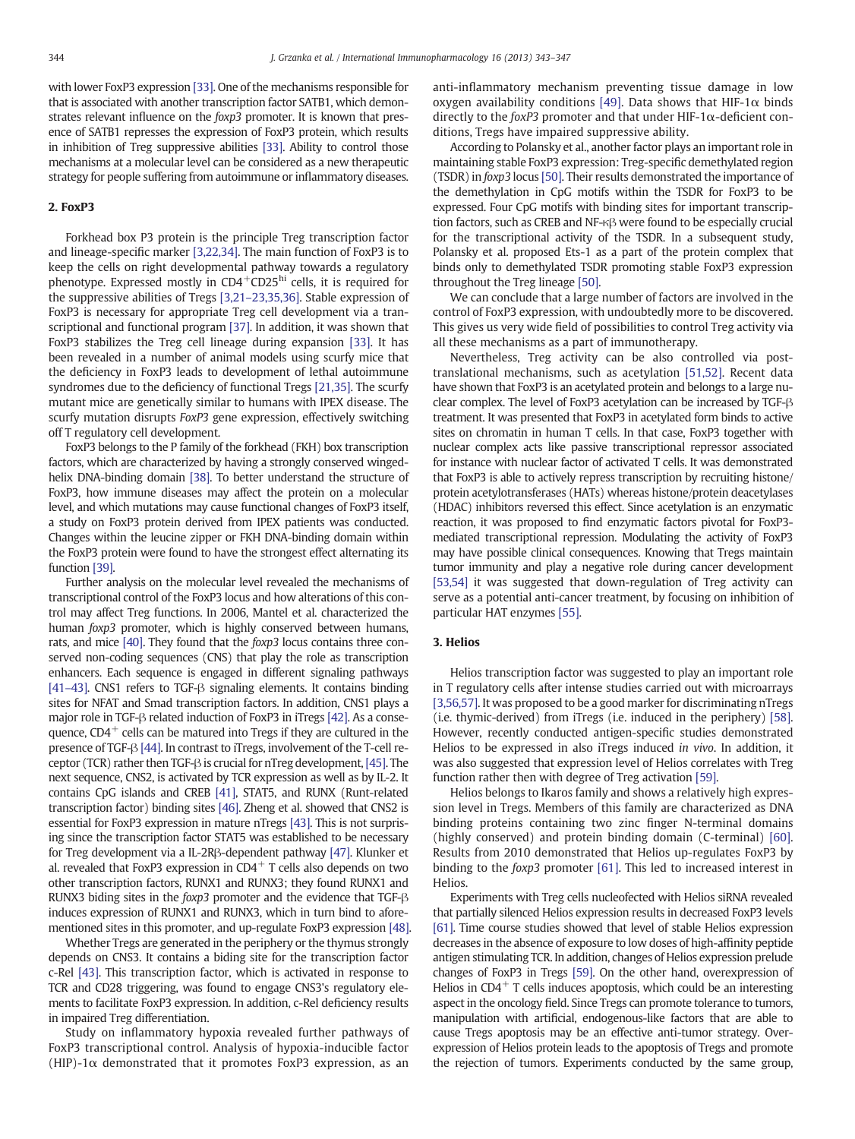with lower FoxP3 expression [\[33\]](#page-3-0). One of the mechanisms responsible for that is associated with another transcription factor SATB1, which demonstrates relevant influence on the foxp3 promoter. It is known that presence of SATB1 represses the expression of FoxP3 protein, which results in inhibition of Treg suppressive abilities [\[33\].](#page-3-0) Ability to control those mechanisms at a molecular level can be considered as a new therapeutic strategy for people suffering from autoimmune or inflammatory diseases.

### 2. FoxP3

Forkhead box P3 protein is the principle Treg transcription factor and lineage-specific marker [\[3,22,34\].](#page-3-0) The main function of FoxP3 is to keep the cells on right developmental pathway towards a regulatory phenotype. Expressed mostly in CD4<sup>+</sup>CD25<sup>hi</sup> cells, it is required for the suppressive abilities of Tregs [3,21–[23,35,36\].](#page-3-0) Stable expression of FoxP3 is necessary for appropriate Treg cell development via a transcriptional and functional program [\[37\]](#page-3-0). In addition, it was shown that FoxP3 stabilizes the Treg cell lineage during expansion [\[33\].](#page-3-0) It has been revealed in a number of animal models using scurfy mice that the deficiency in FoxP3 leads to development of lethal autoimmune syndromes due to the deficiency of functional Tregs [\[21,35\]](#page-3-0). The scurfy mutant mice are genetically similar to humans with IPEX disease. The scurfy mutation disrupts FoxP3 gene expression, effectively switching off T regulatory cell development.

FoxP3 belongs to the P family of the forkhead (FKH) box transcription factors, which are characterized by having a strongly conserved wingedhelix DNA-binding domain [\[38\]](#page-3-0). To better understand the structure of FoxP3, how immune diseases may affect the protein on a molecular level, and which mutations may cause functional changes of FoxP3 itself, a study on FoxP3 protein derived from IPEX patients was conducted. Changes within the leucine zipper or FKH DNA-binding domain within the FoxP3 protein were found to have the strongest effect alternating its function [\[39\].](#page-3-0)

Further analysis on the molecular level revealed the mechanisms of transcriptional control of the FoxP3 locus and how alterations of this control may affect Treg functions. In 2006, Mantel et al. characterized the human foxp3 promoter, which is highly conserved between humans, rats, and mice [\[40\]](#page-3-0). They found that the foxp3 locus contains three conserved non-coding sequences (CNS) that play the role as transcription enhancers. Each sequence is engaged in different signaling pathways [41–[43\].](#page-3-0) CNS1 refers to TGF-β signaling elements. It contains binding sites for NFAT and Smad transcription factors. In addition, CNS1 plays a major role in TGF-β related induction of FoxP3 in iTregs [\[42\]](#page-3-0). As a consequence,  $CD4^+$  cells can be matured into Tregs if they are cultured in the presence of TGF-β [\[44\].](#page-3-0) In contrast to iTregs, involvement of the T-cell receptor (TCR) rather then TGF-β is crucial for nTreg development,[\[45\].](#page-3-0) The next sequence, CNS2, is activated by TCR expression as well as by IL-2. It contains CpG islands and CREB [\[41\]](#page-3-0), STAT5, and RUNX (Runt-related transcription factor) binding sites [\[46\]](#page-3-0). Zheng et al. showed that CNS2 is essential for FoxP3 expression in mature nTregs [\[43\]](#page-3-0). This is not surprising since the transcription factor STAT5 was established to be necessary for Treg development via a IL-2Rβ-dependent pathway [\[47\].](#page-3-0) Klunker et al. revealed that FoxP3 expression in  $CD4<sup>+</sup>$  T cells also depends on two other transcription factors, RUNX1 and RUNX3; they found RUNX1 and RUNX3 biding sites in the foxp3 promoter and the evidence that TGF-β induces expression of RUNX1 and RUNX3, which in turn bind to aforementioned sites in this promoter, and up-regulate FoxP3 expression [\[48\].](#page-3-0)

Whether Tregs are generated in the periphery or the thymus strongly depends on CNS3. It contains a biding site for the transcription factor c-Rel [\[43\].](#page-3-0) This transcription factor, which is activated in response to TCR and CD28 triggering, was found to engage CNS3's regulatory elements to facilitate FoxP3 expression. In addition, c-Rel deficiency results in impaired Treg differentiation.

Study on inflammatory hypoxia revealed further pathways of FoxP3 transcriptional control. Analysis of hypoxia-inducible factor (HIP)-1 $\alpha$  demonstrated that it promotes FoxP3 expression, as an

anti-inflammatory mechanism preventing tissue damage in low oxygen availability conditions [\[49\].](#page-3-0) Data shows that HIF-1 $\alpha$  binds directly to the foxP3 promoter and that under HIF-1 $\alpha$ -deficient conditions, Tregs have impaired suppressive ability.

According to Polansky et al., another factor plays an important role in maintaining stable FoxP3 expression: Treg-specific demethylated region (TSDR) in foxp3 locus [\[50\]](#page-3-0). Their results demonstrated the importance of the demethylation in CpG motifs within the TSDR for FoxP3 to be expressed. Four CpG motifs with binding sites for important transcription factors, such as CREB and NF-κβ were found to be especially crucial for the transcriptional activity of the TSDR. In a subsequent study, Polansky et al. proposed Ets-1 as a part of the protein complex that binds only to demethylated TSDR promoting stable FoxP3 expression throughout the Treg lineage [\[50\].](#page-3-0)

We can conclude that a large number of factors are involved in the control of FoxP3 expression, with undoubtedly more to be discovered. This gives us very wide field of possibilities to control Treg activity via all these mechanisms as a part of immunotherapy.

Nevertheless, Treg activity can be also controlled via posttranslational mechanisms, such as acetylation [\[51,52\]](#page-3-0). Recent data have shown that FoxP3 is an acetylated protein and belongs to a large nuclear complex. The level of FoxP3 acetylation can be increased by TGF-β treatment. It was presented that FoxP3 in acetylated form binds to active sites on chromatin in human T cells. In that case, FoxP3 together with nuclear complex acts like passive transcriptional repressor associated for instance with nuclear factor of activated T cells. It was demonstrated that FoxP3 is able to actively repress transcription by recruiting histone/ protein acetylotransferases (HATs) whereas histone/protein deacetylases (HDAC) inhibitors reversed this effect. Since acetylation is an enzymatic reaction, it was proposed to find enzymatic factors pivotal for FoxP3 mediated transcriptional repression. Modulating the activity of FoxP3 may have possible clinical consequences. Knowing that Tregs maintain tumor immunity and play a negative role during cancer development [\[53,54\]](#page-3-0) it was suggested that down-regulation of Treg activity can serve as a potential anti-cancer treatment, by focusing on inhibition of particular HAT enzymes [\[55\].](#page-3-0)

## 3. Helios

Helios transcription factor was suggested to play an important role in T regulatory cells after intense studies carried out with microarrays [\[3,56,57\].](#page-3-0) It was proposed to be a good marker for discriminating nTregs (i.e. thymic-derived) from iTregs (i.e. induced in the periphery) [\[58\].](#page-3-0) However, recently conducted antigen-specific studies demonstrated Helios to be expressed in also iTregs induced in vivo. In addition, it was also suggested that expression level of Helios correlates with Treg function rather then with degree of Treg activation [\[59\]](#page-3-0).

Helios belongs to Ikaros family and shows a relatively high expression level in Tregs. Members of this family are characterized as DNA binding proteins containing two zinc finger N-terminal domains (highly conserved) and protein binding domain (C-terminal) [\[60\].](#page-3-0) Results from 2010 demonstrated that Helios up-regulates FoxP3 by binding to the foxp3 promoter [\[61\]](#page-3-0). This led to increased interest in Helios.

Experiments with Treg cells nucleofected with Helios siRNA revealed that partially silenced Helios expression results in decreased FoxP3 levels [\[61\].](#page-3-0) Time course studies showed that level of stable Helios expression decreases in the absence of exposure to low doses of high-affinity peptide antigen stimulating TCR. In addition, changes of Helios expression prelude changes of FoxP3 in Tregs [\[59\].](#page-3-0) On the other hand, overexpression of Helios in  $CD4^+$  T cells induces apoptosis, which could be an interesting aspect in the oncology field. Since Tregs can promote tolerance to tumors, manipulation with artificial, endogenous-like factors that are able to cause Tregs apoptosis may be an effective anti-tumor strategy. Overexpression of Helios protein leads to the apoptosis of Tregs and promote the rejection of tumors. Experiments conducted by the same group,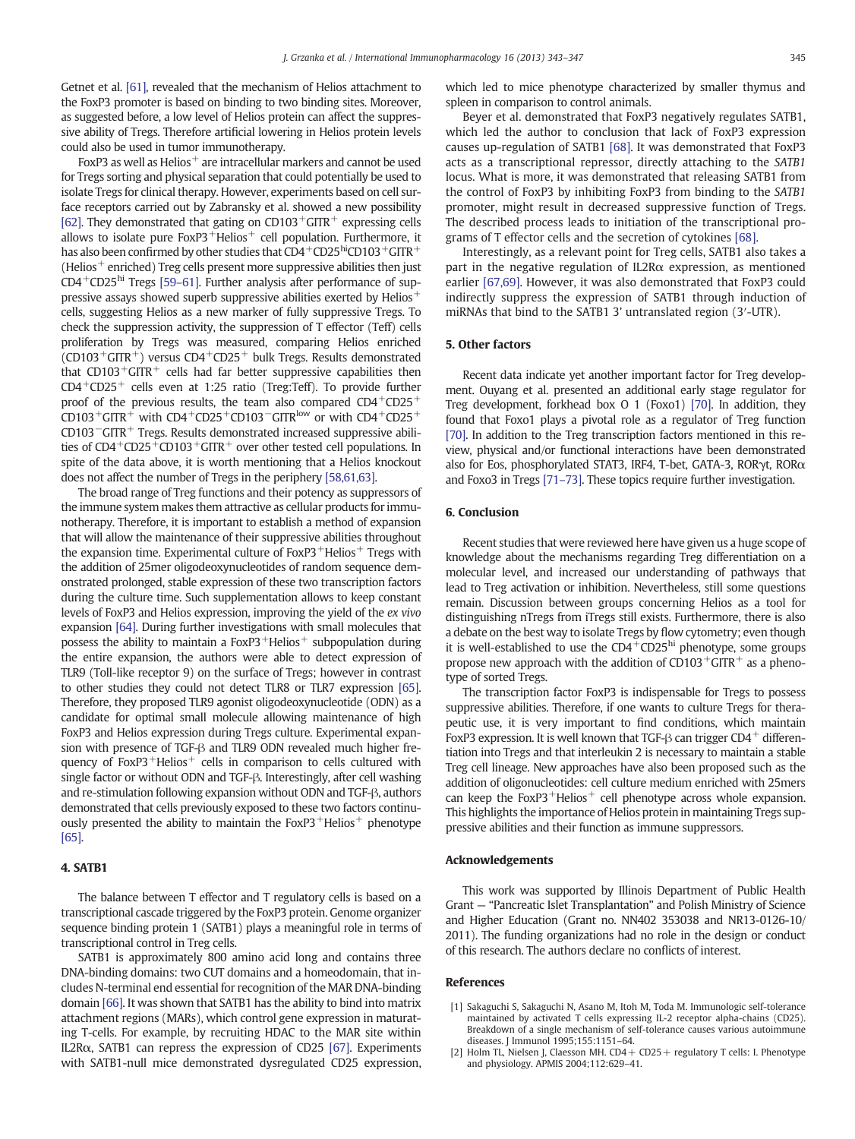<span id="page-2-0"></span>Getnet et al. [\[61\],](#page-3-0) revealed that the mechanism of Helios attachment to the FoxP3 promoter is based on binding to two binding sites. Moreover, as suggested before, a low level of Helios protein can affect the suppressive ability of Tregs. Therefore artificial lowering in Helios protein levels could also be used in tumor immunotherapy.

FoxP3 as well as Helios $^+$  are intracellular markers and cannot be used for Tregs sorting and physical separation that could potentially be used to isolate Tregs for clinical therapy. However, experiments based on cell surface receptors carried out by Zabransky et al. showed a new possibility [\[62\].](#page-3-0) They demonstrated that gating on  $CD103+GITR+$  expressing cells allows to isolate pure  $FoxP3$ <sup>+</sup>Helios<sup>+</sup> cell population. Furthermore, it has also been confirmed by other studies that  $CD4^+CD25^{\text{hi}}CD103^{\text{+}}GITR^+$ (Helios $^+$  enriched) Treg cells present more suppressive abilities then just  $CD4^+CD25^{\text{hi}}$  Tregs [\[59](#page-3-0)–61]. Further analysis after performance of suppressive assays showed superb suppressive abilities exerted by Helios<sup>+</sup> cells, suggesting Helios as a new marker of fully suppressive Tregs. To check the suppression activity, the suppression of T effector (Teff) cells proliferation by Tregs was measured, comparing Helios enriched  $(CD103+GITR^+)$  versus  $CD4+CD25+$  bulk Tregs. Results demonstrated that  $CD103^+GITR^+$  cells had far better suppressive capabilities then  $CD4+CD25+$  cells even at 1:25 ratio (Treg:Teff). To provide further proof of the previous results, the team also compared  $CD4^+CD25^+$ CD103<sup>+</sup>GITR<sup>+</sup> with CD4<sup>+</sup>CD25<sup>+</sup>CD103<sup>-</sup>GITR<sup>low</sup> or with CD4<sup>+</sup>CD25<sup>+</sup> CD103−GITR<sup>+</sup> Tregs. Results demonstrated increased suppressive abilities of CD4<sup>+</sup>CD25<sup>+</sup>CD103<sup>+</sup>GITR<sup>+</sup> over other tested cell populations. In spite of the data above, it is worth mentioning that a Helios knockout does not affect the number of Tregs in the periphery [\[58,61,63\]](#page-3-0).

The broad range of Treg functions and their potency as suppressors of the immune system makes them attractive as cellular products for immunotherapy. Therefore, it is important to establish a method of expansion that will allow the maintenance of their suppressive abilities throughout the expansion time. Experimental culture of  $FoxP3$ <sup>+</sup>Helios<sup>+</sup> Tregs with the addition of 25mer oligodeoxynucleotides of random sequence demonstrated prolonged, stable expression of these two transcription factors during the culture time. Such supplementation allows to keep constant levels of FoxP3 and Helios expression, improving the yield of the ex vivo expansion [\[64\].](#page-3-0) During further investigations with small molecules that possess the ability to maintain a  $FoxP3$ <sup>+</sup>Helios<sup>+</sup> subpopulation during the entire expansion, the authors were able to detect expression of TLR9 (Toll-like receptor 9) on the surface of Tregs; however in contrast to other studies they could not detect TLR8 or TLR7 expression [\[65\].](#page-3-0) Therefore, they proposed TLR9 agonist oligodeoxynucleotide (ODN) as a candidate for optimal small molecule allowing maintenance of high FoxP3 and Helios expression during Tregs culture. Experimental expansion with presence of TGF-β and TLR9 ODN revealed much higher frequency of  $FoxP3$ <sup>+</sup>Helios<sup>+</sup> cells in comparison to cells cultured with single factor or without ODN and TGF-β. Interestingly, after cell washing and re-stimulation following expansion without ODN and TGF-β, authors demonstrated that cells previously exposed to these two factors continuously presented the ability to maintain the  $FoxP3$ <sup>+</sup>Helios<sup>+</sup> phenotype [\[65\].](#page-3-0)

#### 4. SATB1

The balance between T effector and T regulatory cells is based on a transcriptional cascade triggered by the FoxP3 protein. Genome organizer sequence binding protein 1 (SATB1) plays a meaningful role in terms of transcriptional control in Treg cells.

SATB1 is approximately 800 amino acid long and contains three DNA-binding domains: two CUT domains and a homeodomain, that includes N-terminal end essential for recognition of the MAR DNA-binding domain [\[66\]](#page-4-0). It was shown that SATB1 has the ability to bind into matrix attachment regions (MARs), which control gene expression in maturating T-cells. For example, by recruiting HDAC to the MAR site within IL2R $\alpha$ , SATB1 can repress the expression of CD25 [\[67\].](#page-4-0) Experiments with SATB1-null mice demonstrated dysregulated CD25 expression, which led to mice phenotype characterized by smaller thymus and spleen in comparison to control animals.

Beyer et al. demonstrated that FoxP3 negatively regulates SATB1, which led the author to conclusion that lack of FoxP3 expression causes up-regulation of SATB1 [\[68\]](#page-4-0). It was demonstrated that FoxP3 acts as a transcriptional repressor, directly attaching to the SATB1 locus. What is more, it was demonstrated that releasing SATB1 from the control of FoxP3 by inhibiting FoxP3 from binding to the SATB1 promoter, might result in decreased suppressive function of Tregs. The described process leads to initiation of the transcriptional programs of T effector cells and the secretion of cytokines [\[68\].](#page-4-0)

Interestingly, as a relevant point for Treg cells, SATB1 also takes a part in the negative regulation of IL2Rα expression, as mentioned earlier [\[67,69\]](#page-4-0). However, it was also demonstrated that FoxP3 could indirectly suppress the expression of SATB1 through induction of miRNAs that bind to the SATB1 3' untranslated region (3′-UTR).

# 5. Other factors

Recent data indicate yet another important factor for Treg development. Ouyang et al. presented an additional early stage regulator for Treg development, forkhead box O 1 (Foxo1) [\[70\]](#page-4-0). In addition, they found that Foxo1 plays a pivotal role as a regulator of Treg function [\[70\]](#page-4-0). In addition to the Treg transcription factors mentioned in this review, physical and/or functional interactions have been demonstrated also for Eos, phosphorylated STAT3, IRF4, T-bet, GATA-3, RORγt, RORα and Foxo3 in Tregs [\[71](#page-4-0)–73]. These topics require further investigation.

### 6. Conclusion

Recent studies that were reviewed here have given us a huge scope of knowledge about the mechanisms regarding Treg differentiation on a molecular level, and increased our understanding of pathways that lead to Treg activation or inhibition. Nevertheless, still some questions remain. Discussion between groups concerning Helios as a tool for distinguishing nTregs from iTregs still exists. Furthermore, there is also a debate on the best way to isolate Tregs by flow cytometry; even though it is well-established to use the  $CD4^{\pm}CD25^{\text{hi}}$  phenotype, some groups propose new approach with the addition of  $CD103 + GITR +$  as a phenotype of sorted Tregs.

The transcription factor FoxP3 is indispensable for Tregs to possess suppressive abilities. Therefore, if one wants to culture Tregs for therapeutic use, it is very important to find conditions, which maintain FoxP3 expression. It is well known that TGF- $\beta$  can trigger CD4<sup>+</sup> differentiation into Tregs and that interleukin 2 is necessary to maintain a stable Treg cell lineage. New approaches have also been proposed such as the addition of oligonucleotides: cell culture medium enriched with 25mers can keep the FoxP3<sup>+</sup>Helios<sup>+</sup> cell phenotype across whole expansion. This highlights the importance of Helios protein in maintaining Tregs suppressive abilities and their function as immune suppressors.

#### Acknowledgements

This work was supported by Illinois Department of Public Health Grant — "Pancreatic Islet Transplantation" and Polish Ministry of Science and Higher Education (Grant no. NN402 353038 and NR13-0126-10/ 2011). The funding organizations had no role in the design or conduct of this research. The authors declare no conflicts of interest.

#### References

- [1] Sakaguchi S, Sakaguchi N, Asano M, Itoh M, Toda M. Immunologic self-tolerance maintained by activated T cells expressing IL-2 receptor alpha-chains (CD25). Breakdown of a single mechanism of self-tolerance causes various autoimmune diseases. J Immunol 1995;155:1151–64.
- [2] Holm TL, Nielsen J, Claesson MH. CD4 + CD25 + regulatory T cells: I. Phenotype and physiology. APMIS 2004;112:629–41.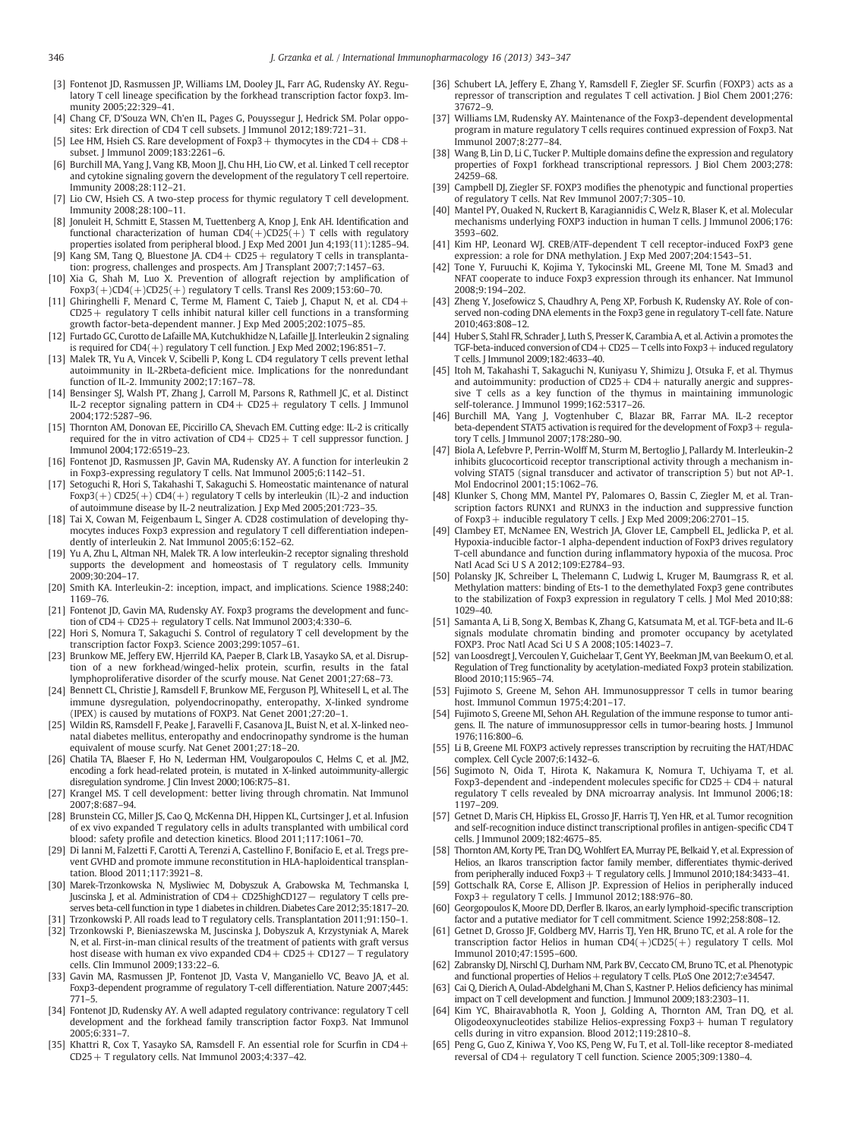- <span id="page-3-0"></span>[3] Fontenot JD, Rasmussen JP, Williams LM, Dooley JL, Farr AG, Rudensky AY. Regulatory T cell lineage specification by the forkhead transcription factor foxp3. Immunity 2005;22:329–41.
- [4] Chang CF, D'Souza WN, Ch'en IL, Pages G, Pouyssegur J, Hedrick SM. Polar opposites: Erk direction of CD4 T cell subsets. J Immunol 2012;189:721–31.
- [5] Lee HM, Hsieh CS. Rare development of Foxp3 + thymocytes in the CD4 + CD8 + subset. J Immunol 2009;183:2261–6.
- [6] Burchill MA, Yang J, Vang KB, Moon JJ, Chu HH, Lio CW, et al. Linked T cell receptor and cytokine signaling govern the development of the regulatory T cell repertoire. Immunity 2008;28:112–21.
- [7] Lio CW, Hsieh CS. A two-step process for thymic regulatory T cell development. Immunity 2008;28:100–11.
- [8] Jonuleit H, Schmitt E, Stassen M, Tuettenberg A, Knop J, Enk AH, Identification and functional characterization of human  $CD4(+)CD25(+)$  T cells with regulatory properties isolated from peripheral blood. J Exp Med 2001 Jun 4;193(11):1285–94.
- [9] Kang SM, Tang Q, Bluestone JA.  $CD4 + CD25 +$  regulatory T cells in transplantation: progress, challenges and prospects. Am J Transplant 2007;7:1457–63.
- [10] Xia G, Shah M, Luo X. Prevention of allograft rejection by amplification of Foxp3(+)CD4(+)CD25(+) regulatory T cells. Transl Res 2009;153:60–70.
- [11] Ghiringhelli F, Menard C, Terme M, Flament C, Taieb J, Chaput N, et al. CD4 + CD25+ regulatory T cells inhibit natural killer cell functions in a transforming growth factor-beta-dependent manner. J Exp Med 2005;202:1075–85.
- [12] Furtado GC, Curotto de Lafaille MA, Kutchukhidze N, Lafaille JJ. Interleukin 2 signaling is required for CD4(+) regulatory T cell function. J Exp Med 2002;196:851–7.
- [13] Malek TR, Yu A, Vincek V, Scibelli P, Kong L. CD4 regulatory T cells prevent lethal autoimmunity in IL-2Rbeta-deficient mice. Implications for the nonredundant function of IL-2. Immunity 2002;17:167–78.
- [14] Bensinger SJ, Walsh PT, Zhang J, Carroll M, Parsons R, Rathmell JC, et al. Distinct IL-2 receptor signaling pattern in CD4 + CD25 + regulatory T cells. J Immunol 2004;172:5287–96.
- [15] Thornton AM, Donovan EE, Piccirillo CA, Shevach EM. Cutting edge: IL-2 is critically required for the in vitro activation of  $CD4 + CD25 + T$  cell suppressor function. J Immunol 2004;172:6519–23.
- [16] Fontenot JD, Rasmussen JP, Gavin MA, Rudensky AY. A function for interleukin 2 in Foxp3-expressing regulatory T cells. Nat Immunol 2005;6:1142–51.
- [17] Setoguchi R, Hori S, Takahashi T, Sakaguchi S. Homeostatic maintenance of natural Foxp3(+) CD25(+) CD4(+) regulatory T cells by interleukin (IL)-2 and induction of autoimmune disease by IL-2 neutralization. J Exp Med 2005;201:723–35.
- [18] Tai X, Cowan M, Feigenbaum L, Singer A. CD28 costimulation of developing thymocytes induces Foxp3 expression and regulatory T cell differentiation independently of interleukin 2. Nat Immunol 2005;6:152–62.
- [19] Yu A, Zhu L, Altman NH, Malek TR. A low interleukin-2 receptor signaling threshold supports the development and homeostasis of T regulatory cells. Immunity 2009;30:204–17.
- [20] Smith KA. Interleukin-2: inception, impact, and implications. Science 1988;240: 1169–76.
- [21] Fontenot JD, Gavin MA, Rudensky AY. Foxp3 programs the development and function of  $CD4+CD25+$  regulatory T cells. Nat Immunol 2003;4:330-6.
- [22] Hori S, Nomura T, Sakaguchi S. Control of regulatory T cell development by the transcription factor Foxp3. Science 2003;299:1057–61.
- [23] Brunkow ME, Jeffery EW, Hjerrild KA, Paeper B, Clark LB, Yasayko SA, et al. Disruption of a new forkhead/winged-helix protein, scurfin, results in the fatal lymphoproliferative disorder of the scurfy mouse. Nat Genet 2001;27:68–73.
- [24] Bennett CL, Christie J, Ramsdell F, Brunkow ME, Ferguson PJ, Whitesell L, et al. The immune dysregulation, polyendocrinopathy, enteropathy, X-linked syndrome (IPEX) is caused by mutations of FOXP3. Nat Genet 2001;27:20–1.
- [25] Wildin RS, Ramsdell F, Peake J, Faravelli F, Casanova JL, Buist N, et al. X-linked neonatal diabetes mellitus, enteropathy and endocrinopathy syndrome is the human equivalent of mouse scurfy. Nat Genet 2001;27:18–20.
- [26] Chatila TA, Blaeser F, Ho N, Lederman HM, Voulgaropoulos C, Helms C, et al. JM2, encoding a fork head-related protein, is mutated in X-linked autoimmunity-allergic disregulation syndrome. J Clin Invest 2000;106:R75–81.
- [27] Krangel MS. T cell development: better living through chromatin. Nat Immunol 2007;8:687–94.
- [28] Brunstein CG, Miller JS, Cao Q, McKenna DH, Hippen KL, Curtsinger J, et al. Infusion of ex vivo expanded T regulatory cells in adults transplanted with umbilical cord blood: safety profile and detection kinetics. Blood 2011;117:1061–70.
- [29] Di Ianni M, Falzetti F, Carotti A, Terenzi A, Castellino F, Bonifacio E, et al. Tregs prevent GVHD and promote immune reconstitution in HLA-haploidentical transplantation. Blood 2011;117:3921–8.
- [30] Marek-Trzonkowska N, Mysliwiec M, Dobyszuk A, Grabowska M, Techmanska I, Juscinska J, et al. Administration of CD4+ CD25highCD127− regulatory T cells preserves beta-cell function in type 1 diabetes in children. Diabetes Care 2012;35:1817–20.
- [31] Trzonkowski P. All roads lead to T regulatory cells. Transplantation 2011;91:150–1. [32] Trzonkowski P, Bieniaszewska M, Juscinska J, Dobyszuk A, Krzystyniak A, Marek
- N, et al. First-in-man clinical results of the treatment of patients with graft versus host disease with human ex vivo expanded CD4+ CD25+ CD127− T regulatory cells. Clin Immunol 2009;133:22–6.
- [33] Gavin MA, Rasmussen JP, Fontenot JD, Vasta V, Manganiello VC, Beavo JA, et al. Foxp3-dependent programme of regulatory T-cell differentiation. Nature 2007;445: 771–5.
- [34] Fontenot JD, Rudensky AY. A well adapted regulatory contrivance: regulatory T cell development and the forkhead family transcription factor Foxp3. Nat Immunol 2005;6:331–7.
- [35] Khattri R, Cox T, Yasayko SA, Ramsdell F, An essential role for Scurfin in  $CD4$  + CD25+ T regulatory cells. Nat Immunol 2003;4:337–42.
- [36] Schubert LA, Jeffery E, Zhang Y, Ramsdell F, Ziegler SF. Scurfin (FOXP3) acts as a repressor of transcription and regulates T cell activation. J Biol Chem 2001;276: 37672–9.
- [37] Williams LM, Rudensky AY. Maintenance of the Foxp3-dependent developmental program in mature regulatory T cells requires continued expression of Foxp3. Nat Immunol 2007;8:277–84.
- [38] Wang B, Lin D, Li C, Tucker P. Multiple domains define the expression and regulatory properties of Foxp1 forkhead transcriptional repressors. J Biol Chem 2003;278: 24259–68.
- [39] Campbell DJ, Ziegler SF. FOXP3 modifies the phenotypic and functional properties of regulatory T cells. Nat Rev Immunol 2007;7:305–10.
- [40] Mantel PY, Ouaked N, Ruckert B, Karagiannidis C, Welz R, Blaser K, et al. Molecular mechanisms underlying FOXP3 induction in human T cells. J Immunol 2006;176: 3593–602.
- [41] Kim HP, Leonard WJ. CREB/ATF-dependent T cell receptor-induced FoxP3 gene expression: a role for DNA methylation. J Exp Med 2007;204:1543–51.
- [42] Tone Y, Furuuchi K, Kojima Y, Tykocinski ML, Greene MI, Tone M. Smad3 and NFAT cooperate to induce Foxp3 expression through its enhancer. Nat Immunol 2008;9:194–202.
- [43] Zheng Y, Josefowicz S, Chaudhry A, Peng XP, Forbush K, Rudensky AY. Role of conserved non-coding DNA elements in the Foxp3 gene in regulatory T-cell fate. Nature 2010;463:808–12.
- [44] Huber S, Stahl FR, Schrader J, Luth S, Presser K, Carambia A, et al. Activin a promotes the TGF-beta-induced conversion of CD4+ CD25− T cells into Foxp3+ induced regulatory T cells. J Immunol 2009;182:4633–40.
- [45] Itoh M, Takahashi T, Sakaguchi N, Kuniyasu Y, Shimizu J, Otsuka F, et al. Thymus and autoimmunity: production of  $CD25 + CD4 +$  naturally anergic and suppressive T cells as a key function of the thymus in maintaining immunologic self-tolerance. J Immunol 1999;162:5317–26.
- [46] Burchill MA, Yang J, Vogtenhuber C, Blazar BR, Farrar MA. IL-2 receptor beta-dependent STAT5 activation is required for the development of Foxp3+ regulatory T cells. J Immunol 2007;178:280–90.
- [47] Biola A, Lefebvre P, Perrin-Wolff M, Sturm M, Bertoglio J, Pallardy M. Interleukin-2 inhibits glucocorticoid receptor transcriptional activity through a mechanism involving STAT5 (signal transducer and activator of transcription 5) but not AP-1. Mol Endocrinol 2001;15:1062–76.
- [48] Klunker S, Chong MM, Mantel PY, Palomares O, Bassin C, Ziegler M, et al. Transcription factors RUNX1 and RUNX3 in the induction and suppressive function of Foxp3+ inducible regulatory T cells. J Exp Med 2009;206:2701–15.
- [49] Clambey ET, McNamee EN, Westrich JA, Glover LE, Campbell EL, Jedlicka P, et al. Hypoxia-inducible factor-1 alpha-dependent induction of FoxP3 drives regulatory T-cell abundance and function during inflammatory hypoxia of the mucosa. Proc Natl Acad Sci U S A 2012;109:E2784–93.
- [50] Polansky JK, Schreiber L, Thelemann C, Ludwig L, Kruger M, Baumgrass R, et al. Methylation matters: binding of Ets-1 to the demethylated Foxp3 gene contributes to the stabilization of Foxp3 expression in regulatory T cells. J Mol Med 2010;88: 1029–40.
- [51] Samanta A, Li B, Song X, Bembas K, Zhang G, Katsumata M, et al. TGF-beta and IL-6 signals modulate chromatin binding and promoter occupancy by acetylated FOXP3. Proc Natl Acad Sci U S A 2008;105:14023–7.
- [52] van Loosdregt J, Vercoulen Y, Guichelaar T, Gent YY, Beekman JM, van Beekum O, et al. Regulation of Treg functionality by acetylation-mediated Foxp3 protein stabilization. Blood 2010;115:965–74.
- [53] Fujimoto S, Greene M, Sehon AH. Immunosuppressor T cells in tumor bearing host. Immunol Commun 1975;4:201–17.
- [54] Fujimoto S, Greene MI, Sehon AH. Regulation of the immune response to tumor antigens. II. The nature of immunosuppressor cells in tumor-bearing hosts. J Immunol 1976;116:800–6.
- [55] Li B, Greene MI. FOXP3 actively represses transcription by recruiting the HAT/HDAC complex. Cell Cycle 2007;6:1432–6.
- [56] Sugimoto N, Oida T, Hirota K, Nakamura K, Nomura T, Uchiyama T, et al. Foxp3-dependent and -independent molecules specific for CD25 + CD4 + natural regulatory T cells revealed by DNA microarray analysis. Int Immunol 2006;18: 1197–209.
- [57] Getnet D, Maris CH, Hipkiss EL, Grosso JF, Harris TJ, Yen HR, et al. Tumor recognition and self-recognition induce distinct transcriptional profiles in antigen-specific CD4 T cells. J Immunol 2009;182:4675–85.
- [58] Thornton AM, Korty PE, Tran DQ, Wohlfert EA, Murray PE, Belkaid Y, et al. Expression of Helios, an Ikaros transcription factor family member, differentiates thymic-derived from peripherally induced Foxp3+ T regulatory cells. J Immunol 2010;184:3433–41.
- [59] Gottschalk RA, Corse E, Allison JP. Expression of Helios in peripherally induced Foxp3 + regulatory T cells. J Immunol 2012:188:976-80.
- [60] Georgopoulos K, Moore DD, Derfler B. Ikaros, an early lymphoid-specific transcription factor and a putative mediator for T cell commitment. Science 1992;258:808–12.
- [61] Getnet D, Grosso JF, Goldberg MV, Harris TJ, Yen HR, Bruno TC, et al. A role for the transcription factor Helios in human  $CD4(+)CD25(+)$  regulatory T cells. Mol Immunol 2010;47:1595–600.
- [62] Zabransky DJ, Nirschl CJ, Durham NM, Park BV, Ceccato CM, Bruno TC, et al. Phenotypic and functional properties of Helios + regulatory T cells. PLoS One 2012;7:e34547.
- [63] Cai Q, Dierich A, Oulad-Abdelghani M, Chan S, Kastner P. Helios deficiency has minimal impact on T cell development and function. J Immunol 2009;183:2303–11.
- [64] Kim YC, Bhairavabhotla R, Yoon J, Golding A, Thornton AM, Tran DQ, et al. Oligodeoxynucleotides stabilize Helios-expressing Foxp3+ human T regulatory cells during in vitro expansion. Blood 2012;119:2810–8.
- [65] Peng G, Guo Z, Kiniwa Y, Voo KS, Peng W, Fu T, et al. Toll-like receptor 8-mediated reversal of CD4+ regulatory T cell function. Science 2005;309:1380–4.